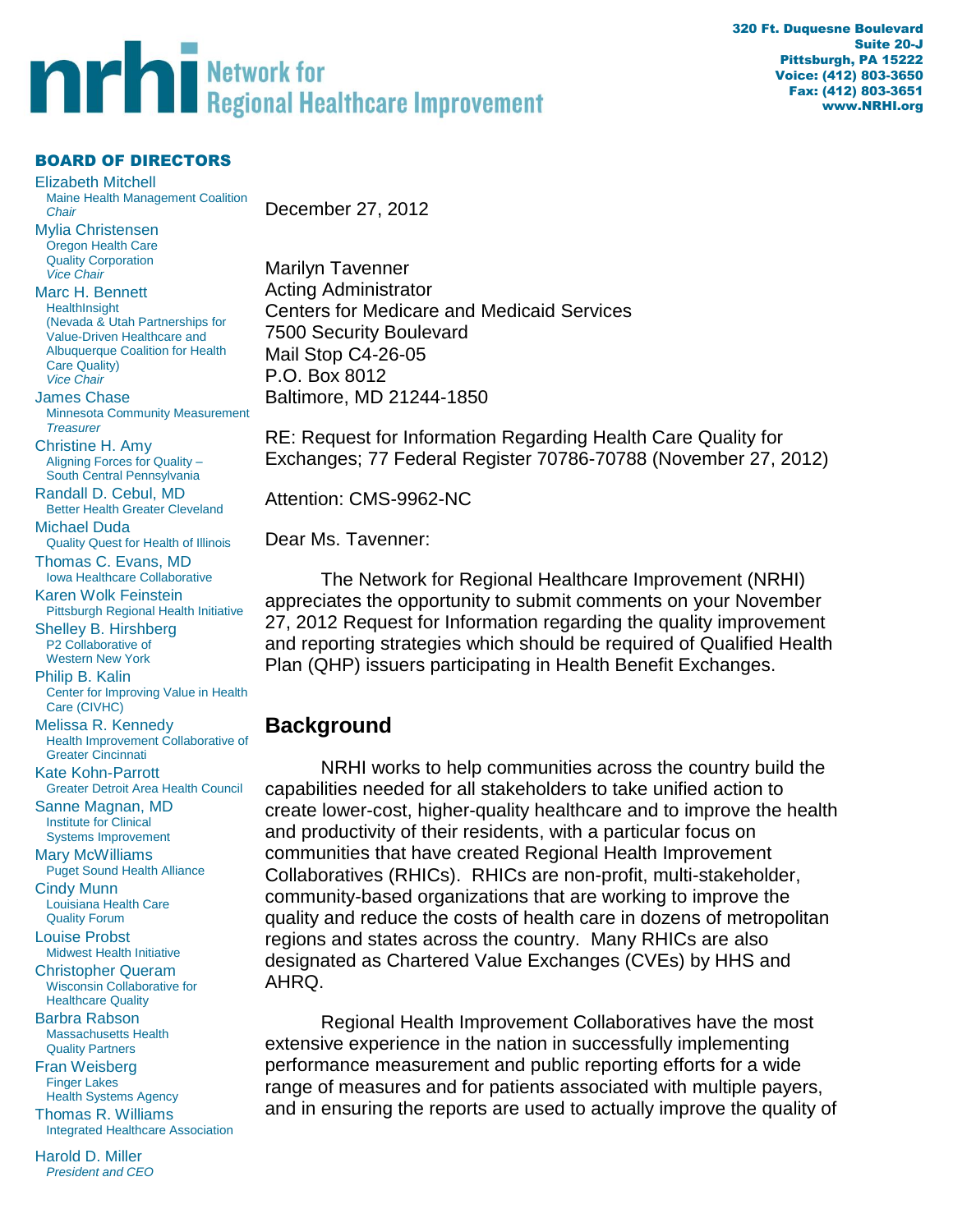# **THE Regional Healthcare Improvement**

#### BOARD OF DIRECTORS

Elizabeth Mitchell Maine Health Management Coalition *Chair* Mylia Christensen Oregon Health Care Quality Corporation *Vice Chair* Marc H. Bennett **HealthInsight** (Nevada & Utah Partnerships for Value-Driven Healthcare and Albuquerque Coalition for Health Care Quality) *Vice Chair* James Chase Minnesota Community Measurement *Treasurer* Christine H. Amy Aligning Forces for Quality – South Central Pennsylvania Randall D. Cebul, MD Better Health Greater Cleveland Michael Duda Quality Quest for Health of Illinois Thomas C. Evans, MD Iowa Healthcare Collaborative Karen Wolk Feinstein Pittsburgh Regional Health Initiative Shelley B. Hirshberg P2 Collaborative of Western New York Philip B. Kalin Center for Improving Value in Health Care (CIVHC) Melissa R. Kennedy Health Improvement Collaborative of Greater Cincinnati Kate Kohn-Parrott Greater Detroit Area Health Council Sanne Magnan, MD Institute for Clinical Systems Improvement Mary McWilliams Puget Sound Health Alliance Cindy Munn Louisiana Health Care Quality Forum Louise Probst Midwest Health Initiative Christopher Queram Wisconsin Collaborative for Healthcare Quality Barbra Rabson Massachusetts Health Quality Partners Fran Weisberg Finger Lakes Health Systems Agency Thomas R. Williams Integrated Healthcare Association

Harold D. Miller *President and CEO* December 27, 2012

Marilyn Tavenner Acting Administrator Centers for Medicare and Medicaid Services 7500 Security Boulevard Mail Stop C4-26-05 P.O. Box 8012 Baltimore, MD 21244-1850

RE: Request for Information Regarding Health Care Quality for Exchanges; 77 Federal Register 70786-70788 (November 27, 2012)

Attention: CMS-9962-NC

Dear Ms. Tavenner:

The Network for Regional Healthcare Improvement (NRHI) appreciates the opportunity to submit comments on your November 27, 2012 Request for Information regarding the quality improvement and reporting strategies which should be required of Qualified Health Plan (QHP) issuers participating in Health Benefit Exchanges.

# **Background**

NRHI works to help communities across the country build the capabilities needed for all stakeholders to take unified action to create lower-cost, higher-quality healthcare and to improve the health and productivity of their residents, with a particular focus on communities that have created Regional Health Improvement Collaboratives (RHICs). RHICs are non-profit, multi-stakeholder, community-based organizations that are working to improve the quality and reduce the costs of health care in dozens of metropolitan regions and states across the country. Many RHICs are also designated as Chartered Value Exchanges (CVEs) by HHS and AHRQ.

Regional Health Improvement Collaboratives have the most extensive experience in the nation in successfully implementing performance measurement and public reporting efforts for a wide range of measures and for patients associated with multiple payers, and in ensuring the reports are used to actually improve the quality of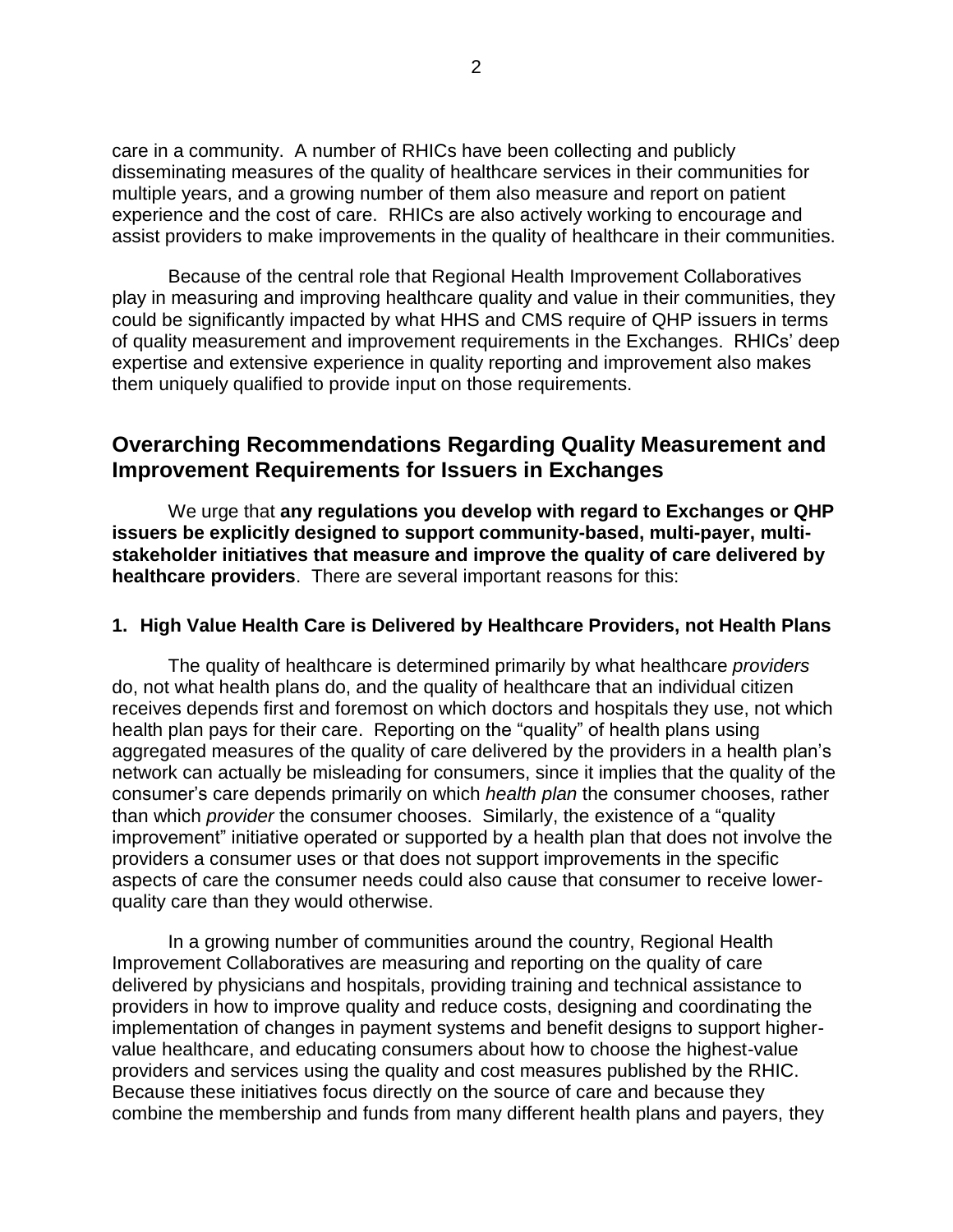care in a community. A number of RHICs have been collecting and publicly disseminating measures of the quality of healthcare services in their communities for multiple years, and a growing number of them also measure and report on patient experience and the cost of care. RHICs are also actively working to encourage and assist providers to make improvements in the quality of healthcare in their communities.

Because of the central role that Regional Health Improvement Collaboratives play in measuring and improving healthcare quality and value in their communities, they could be significantly impacted by what HHS and CMS require of QHP issuers in terms of quality measurement and improvement requirements in the Exchanges. RHICs' deep expertise and extensive experience in quality reporting and improvement also makes them uniquely qualified to provide input on those requirements.

# **Overarching Recommendations Regarding Quality Measurement and Improvement Requirements for Issuers in Exchanges**

We urge that **any regulations you develop with regard to Exchanges or QHP issuers be explicitly designed to support community-based, multi-payer, multistakeholder initiatives that measure and improve the quality of care delivered by healthcare providers**. There are several important reasons for this:

#### **1. High Value Health Care is Delivered by Healthcare Providers, not Health Plans**

The quality of healthcare is determined primarily by what healthcare *providers* do, not what health plans do, and the quality of healthcare that an individual citizen receives depends first and foremost on which doctors and hospitals they use, not which health plan pays for their care. Reporting on the "quality" of health plans using aggregated measures of the quality of care delivered by the providers in a health plan's network can actually be misleading for consumers, since it implies that the quality of the consumer's care depends primarily on which *health plan* the consumer chooses, rather than which *provider* the consumer chooses. Similarly, the existence of a "quality improvement" initiative operated or supported by a health plan that does not involve the providers a consumer uses or that does not support improvements in the specific aspects of care the consumer needs could also cause that consumer to receive lowerquality care than they would otherwise.

In a growing number of communities around the country, Regional Health Improvement Collaboratives are measuring and reporting on the quality of care delivered by physicians and hospitals, providing training and technical assistance to providers in how to improve quality and reduce costs, designing and coordinating the implementation of changes in payment systems and benefit designs to support highervalue healthcare, and educating consumers about how to choose the highest-value providers and services using the quality and cost measures published by the RHIC. Because these initiatives focus directly on the source of care and because they combine the membership and funds from many different health plans and payers, they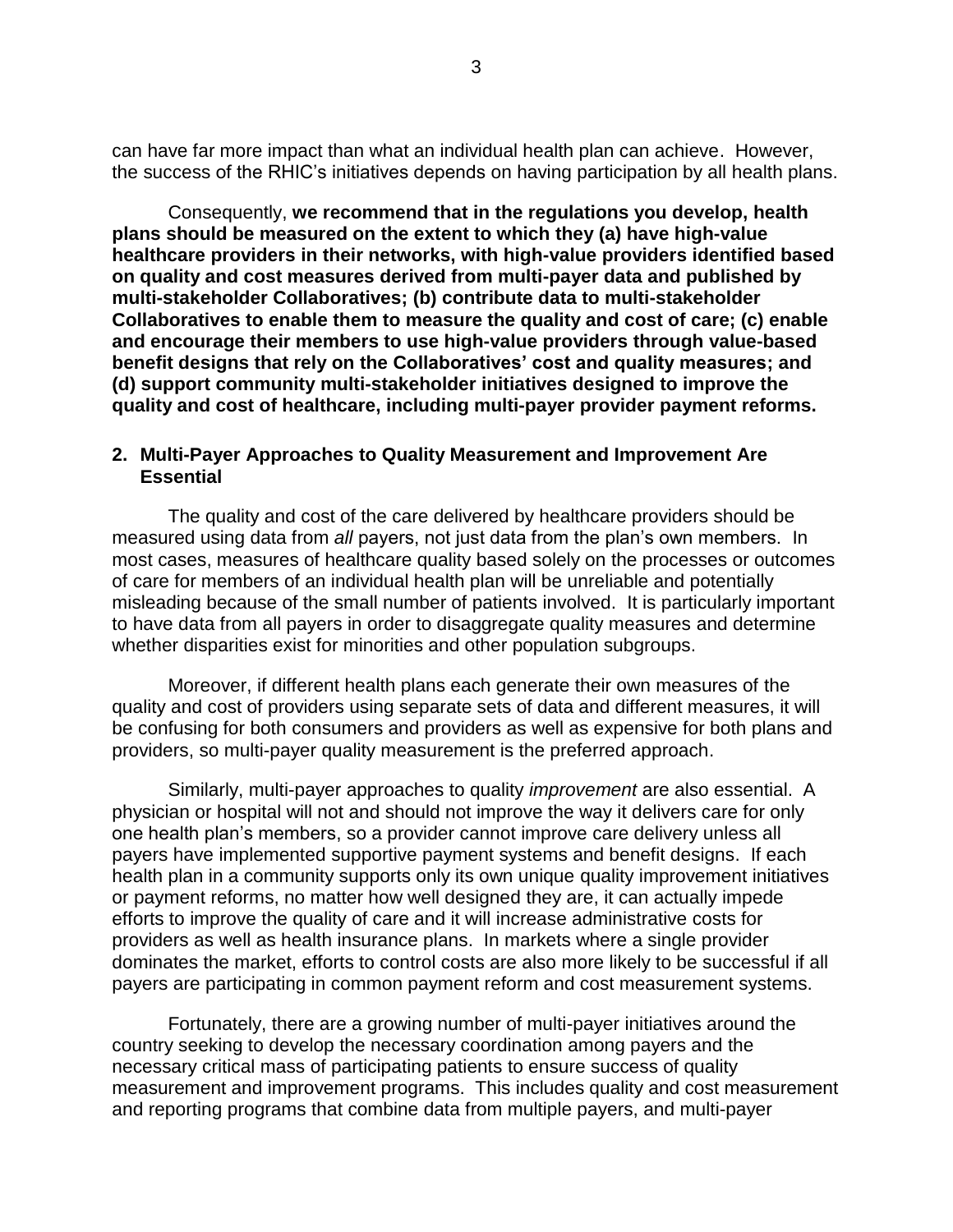can have far more impact than what an individual health plan can achieve. However, the success of the RHIC's initiatives depends on having participation by all health plans.

Consequently, **we recommend that in the regulations you develop, health plans should be measured on the extent to which they (a) have high-value healthcare providers in their networks, with high-value providers identified based on quality and cost measures derived from multi-payer data and published by multi-stakeholder Collaboratives; (b) contribute data to multi-stakeholder Collaboratives to enable them to measure the quality and cost of care; (c) enable and encourage their members to use high-value providers through value-based benefit designs that rely on the Collaboratives' cost and quality measures; and (d) support community multi-stakeholder initiatives designed to improve the quality and cost of healthcare, including multi-payer provider payment reforms.**

#### **2. Multi-Payer Approaches to Quality Measurement and Improvement Are Essential**

The quality and cost of the care delivered by healthcare providers should be measured using data from *all* payers, not just data from the plan's own members. In most cases, measures of healthcare quality based solely on the processes or outcomes of care for members of an individual health plan will be unreliable and potentially misleading because of the small number of patients involved. It is particularly important to have data from all payers in order to disaggregate quality measures and determine whether disparities exist for minorities and other population subgroups.

Moreover, if different health plans each generate their own measures of the quality and cost of providers using separate sets of data and different measures, it will be confusing for both consumers and providers as well as expensive for both plans and providers, so multi-payer quality measurement is the preferred approach.

Similarly, multi-payer approaches to quality *improvement* are also essential. A physician or hospital will not and should not improve the way it delivers care for only one health plan's members, so a provider cannot improve care delivery unless all payers have implemented supportive payment systems and benefit designs. If each health plan in a community supports only its own unique quality improvement initiatives or payment reforms, no matter how well designed they are, it can actually impede efforts to improve the quality of care and it will increase administrative costs for providers as well as health insurance plans. In markets where a single provider dominates the market, efforts to control costs are also more likely to be successful if all payers are participating in common payment reform and cost measurement systems.

Fortunately, there are a growing number of multi-payer initiatives around the country seeking to develop the necessary coordination among payers and the necessary critical mass of participating patients to ensure success of quality measurement and improvement programs. This includes quality and cost measurement and reporting programs that combine data from multiple payers, and multi-payer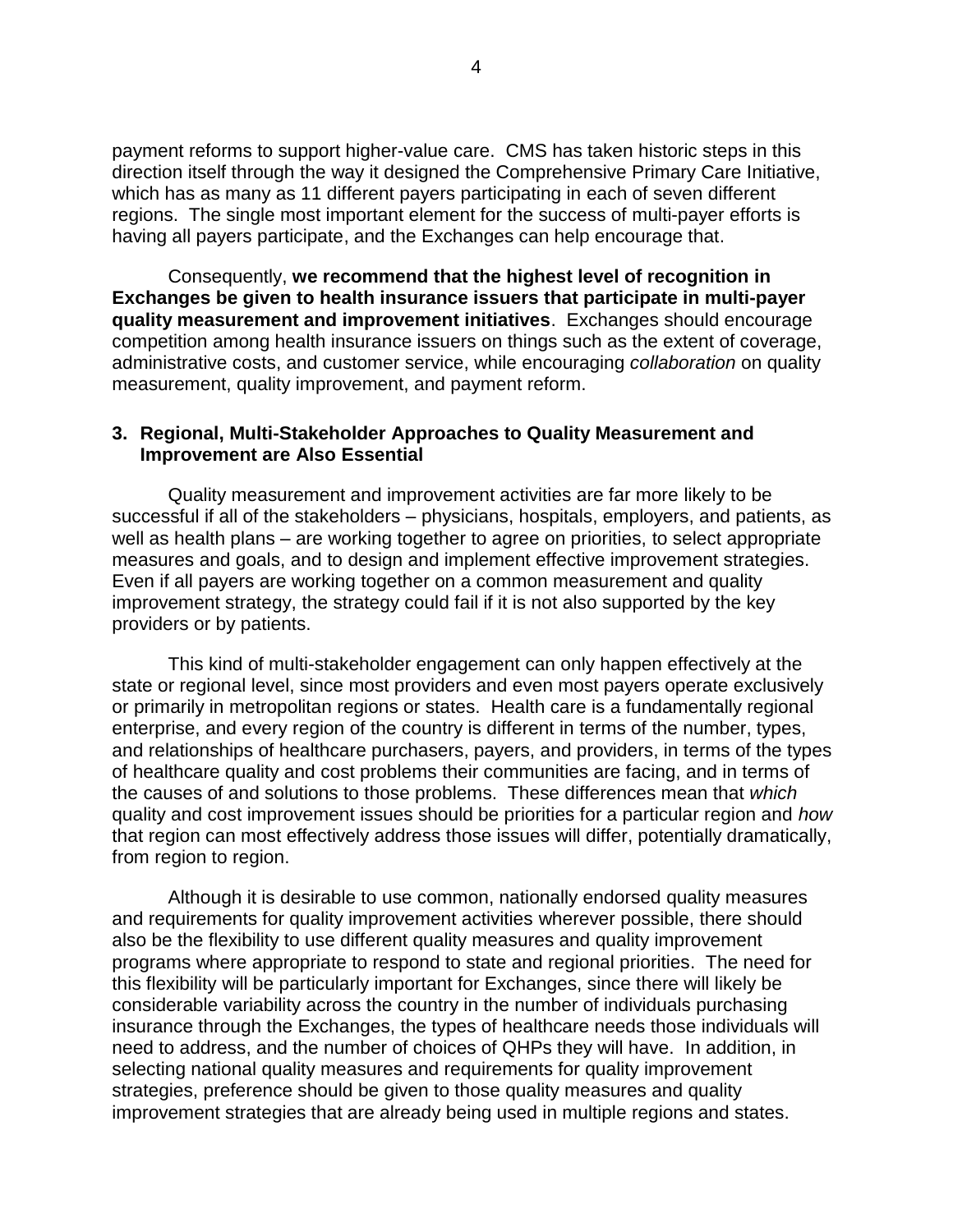payment reforms to support higher-value care. CMS has taken historic steps in this direction itself through the way it designed the Comprehensive Primary Care Initiative, which has as many as 11 different payers participating in each of seven different regions. The single most important element for the success of multi-payer efforts is having all payers participate, and the Exchanges can help encourage that.

Consequently, **we recommend that the highest level of recognition in Exchanges be given to health insurance issuers that participate in multi-payer quality measurement and improvement initiatives**. Exchanges should encourage competition among health insurance issuers on things such as the extent of coverage, administrative costs, and customer service, while encouraging *collaboration* on quality measurement, quality improvement, and payment reform.

## **3. Regional, Multi-Stakeholder Approaches to Quality Measurement and Improvement are Also Essential**

Quality measurement and improvement activities are far more likely to be successful if all of the stakeholders – physicians, hospitals, employers, and patients, as well as health plans – are working together to agree on priorities, to select appropriate measures and goals, and to design and implement effective improvement strategies. Even if all payers are working together on a common measurement and quality improvement strategy, the strategy could fail if it is not also supported by the key providers or by patients.

This kind of multi-stakeholder engagement can only happen effectively at the state or regional level, since most providers and even most payers operate exclusively or primarily in metropolitan regions or states. Health care is a fundamentally regional enterprise, and every region of the country is different in terms of the number, types, and relationships of healthcare purchasers, payers, and providers, in terms of the types of healthcare quality and cost problems their communities are facing, and in terms of the causes of and solutions to those problems. These differences mean that *which* quality and cost improvement issues should be priorities for a particular region and *how* that region can most effectively address those issues will differ, potentially dramatically, from region to region.

Although it is desirable to use common, nationally endorsed quality measures and requirements for quality improvement activities wherever possible, there should also be the flexibility to use different quality measures and quality improvement programs where appropriate to respond to state and regional priorities. The need for this flexibility will be particularly important for Exchanges, since there will likely be considerable variability across the country in the number of individuals purchasing insurance through the Exchanges, the types of healthcare needs those individuals will need to address, and the number of choices of QHPs they will have. In addition, in selecting national quality measures and requirements for quality improvement strategies, preference should be given to those quality measures and quality improvement strategies that are already being used in multiple regions and states.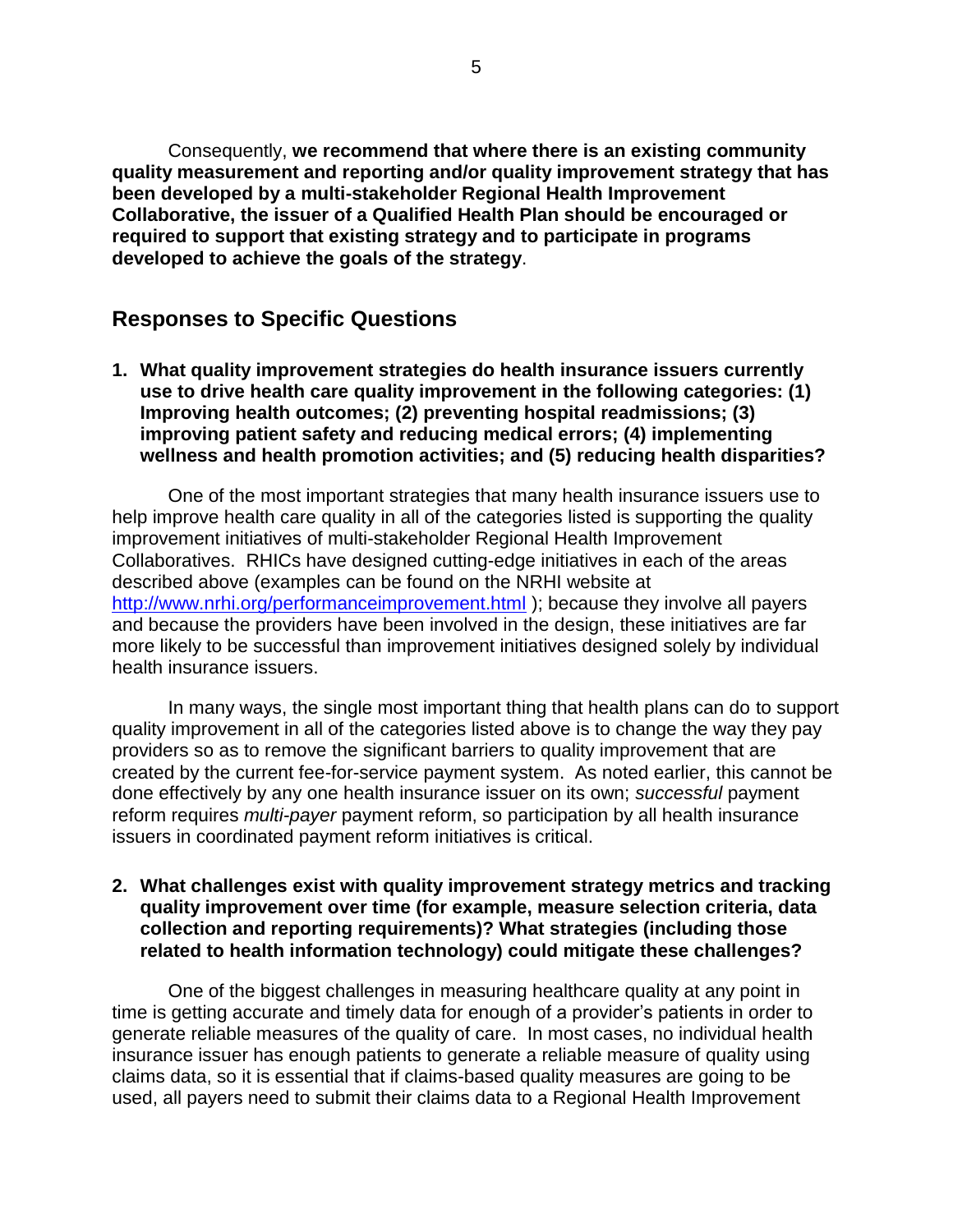Consequently, **we recommend that where there is an existing community quality measurement and reporting and/or quality improvement strategy that has been developed by a multi-stakeholder Regional Health Improvement Collaborative, the issuer of a Qualified Health Plan should be encouraged or required to support that existing strategy and to participate in programs developed to achieve the goals of the strategy**.

# **Responses to Specific Questions**

**1. What quality improvement strategies do health insurance issuers currently use to drive health care quality improvement in the following categories: (1) Improving health outcomes; (2) preventing hospital readmissions; (3) improving patient safety and reducing medical errors; (4) implementing wellness and health promotion activities; and (5) reducing health disparities?**

One of the most important strategies that many health insurance issuers use to help improve health care quality in all of the categories listed is supporting the quality improvement initiatives of multi-stakeholder Regional Health Improvement Collaboratives. RHICs have designed cutting-edge initiatives in each of the areas described above (examples can be found on the NRHI website at <http://www.nrhi.org/performanceimprovement.html> ); because they involve all payers and because the providers have been involved in the design, these initiatives are far more likely to be successful than improvement initiatives designed solely by individual health insurance issuers.

In many ways, the single most important thing that health plans can do to support quality improvement in all of the categories listed above is to change the way they pay providers so as to remove the significant barriers to quality improvement that are created by the current fee-for-service payment system. As noted earlier, this cannot be done effectively by any one health insurance issuer on its own; *successful* payment reform requires *multi-payer* payment reform, so participation by all health insurance issuers in coordinated payment reform initiatives is critical.

#### **2. What challenges exist with quality improvement strategy metrics and tracking quality improvement over time (for example, measure selection criteria, data collection and reporting requirements)? What strategies (including those related to health information technology) could mitigate these challenges?**

One of the biggest challenges in measuring healthcare quality at any point in time is getting accurate and timely data for enough of a provider's patients in order to generate reliable measures of the quality of care. In most cases, no individual health insurance issuer has enough patients to generate a reliable measure of quality using claims data, so it is essential that if claims-based quality measures are going to be used, all payers need to submit their claims data to a Regional Health Improvement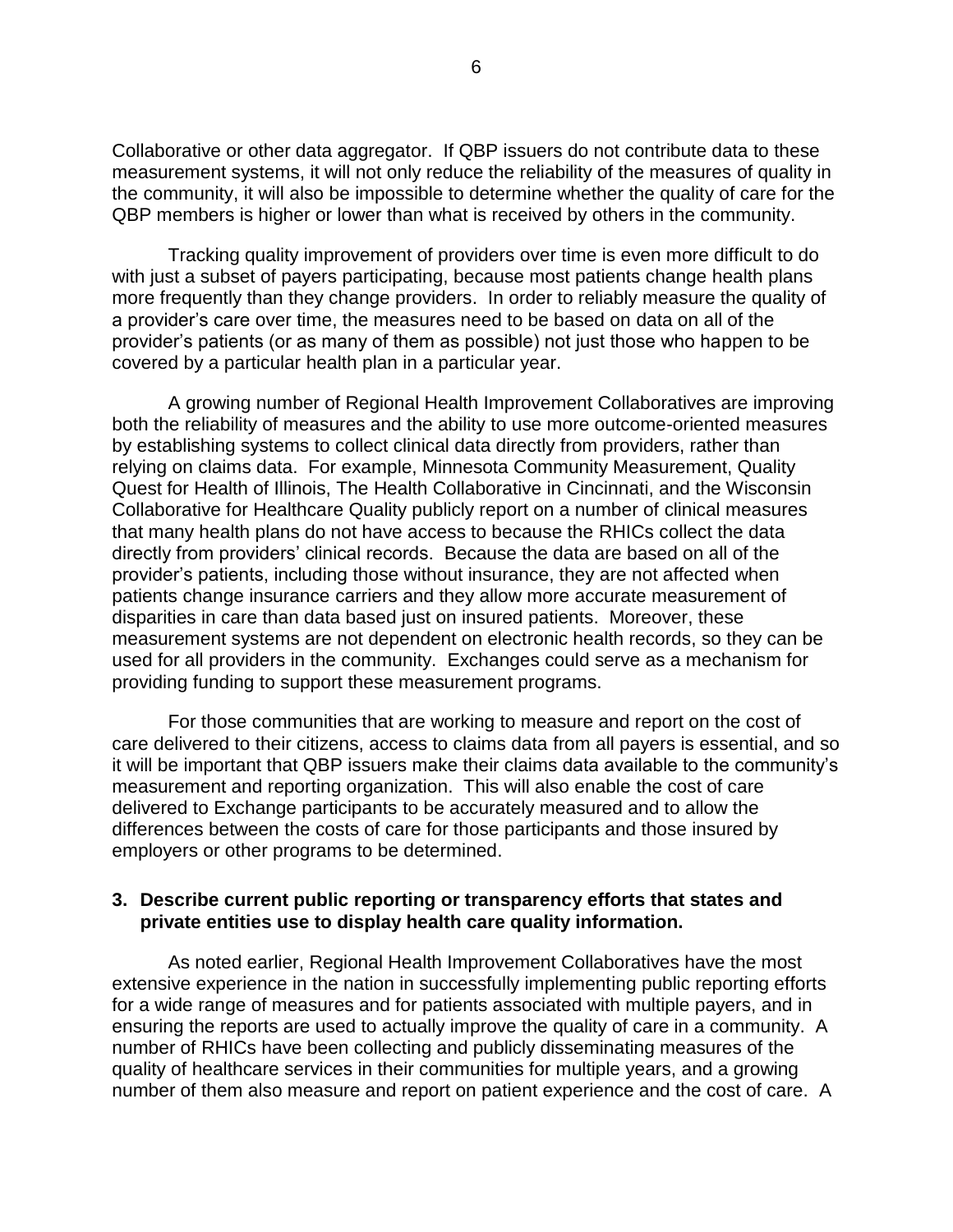Collaborative or other data aggregator. If QBP issuers do not contribute data to these measurement systems, it will not only reduce the reliability of the measures of quality in the community, it will also be impossible to determine whether the quality of care for the QBP members is higher or lower than what is received by others in the community.

Tracking quality improvement of providers over time is even more difficult to do with just a subset of payers participating, because most patients change health plans more frequently than they change providers. In order to reliably measure the quality of a provider's care over time, the measures need to be based on data on all of the provider's patients (or as many of them as possible) not just those who happen to be covered by a particular health plan in a particular year.

A growing number of Regional Health Improvement Collaboratives are improving both the reliability of measures and the ability to use more outcome-oriented measures by establishing systems to collect clinical data directly from providers, rather than relying on claims data. For example, Minnesota Community Measurement, Quality Quest for Health of Illinois, The Health Collaborative in Cincinnati, and the Wisconsin Collaborative for Healthcare Quality publicly report on a number of clinical measures that many health plans do not have access to because the RHICs collect the data directly from providers' clinical records. Because the data are based on all of the provider's patients, including those without insurance, they are not affected when patients change insurance carriers and they allow more accurate measurement of disparities in care than data based just on insured patients. Moreover, these measurement systems are not dependent on electronic health records, so they can be used for all providers in the community. Exchanges could serve as a mechanism for providing funding to support these measurement programs.

For those communities that are working to measure and report on the cost of care delivered to their citizens, access to claims data from all payers is essential, and so it will be important that QBP issuers make their claims data available to the community's measurement and reporting organization. This will also enable the cost of care delivered to Exchange participants to be accurately measured and to allow the differences between the costs of care for those participants and those insured by employers or other programs to be determined.

#### **3. Describe current public reporting or transparency efforts that states and private entities use to display health care quality information.**

As noted earlier, Regional Health Improvement Collaboratives have the most extensive experience in the nation in successfully implementing public reporting efforts for a wide range of measures and for patients associated with multiple payers, and in ensuring the reports are used to actually improve the quality of care in a community. A number of RHICs have been collecting and publicly disseminating measures of the quality of healthcare services in their communities for multiple years, and a growing number of them also measure and report on patient experience and the cost of care. A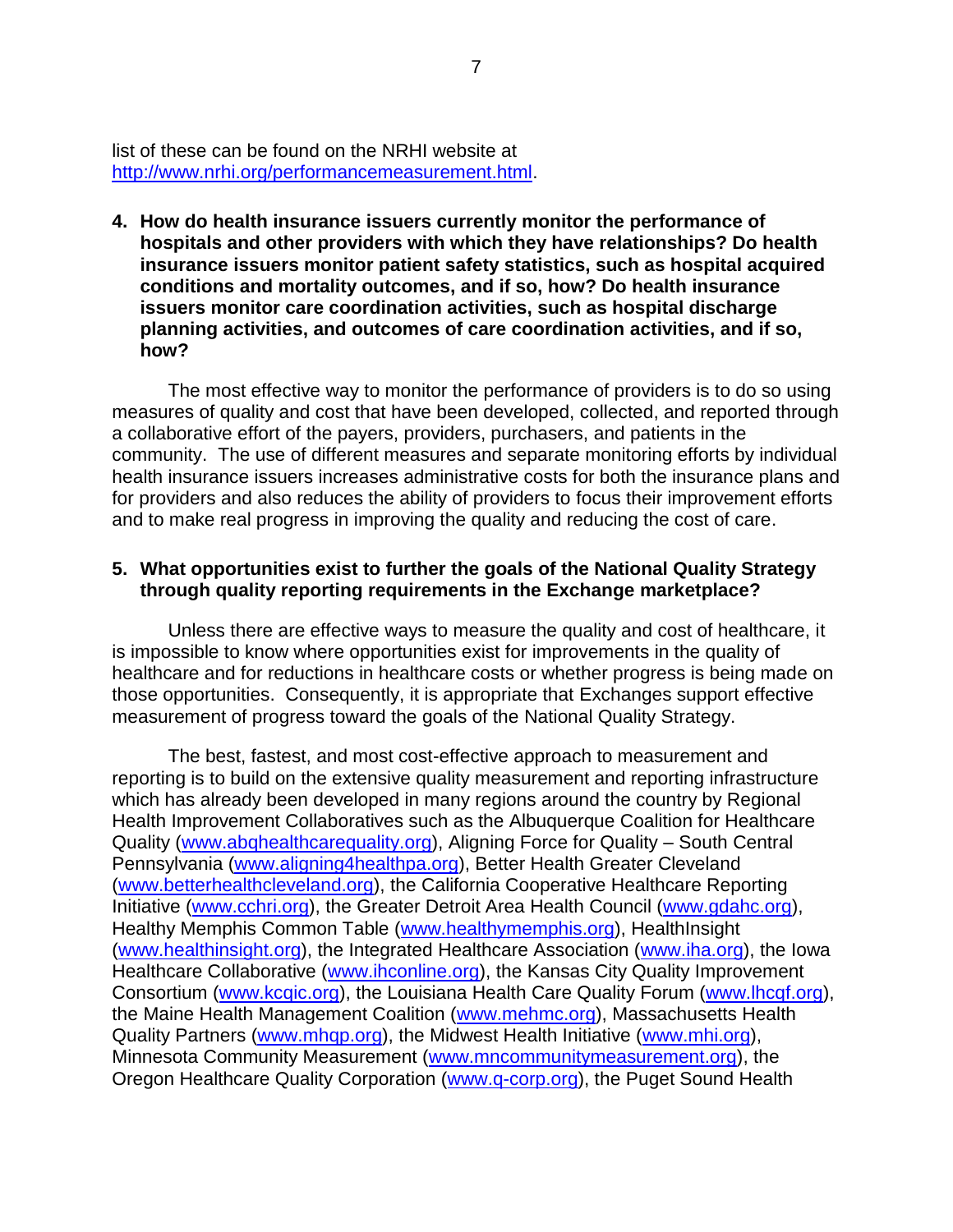list of these can be found on the NRHI website at [http://www.nrhi.org/performancemeasurement.html.](http://www.nrhi.org/performancemeasurement.html)

**4. How do health insurance issuers currently monitor the performance of hospitals and other providers with which they have relationships? Do health insurance issuers monitor patient safety statistics, such as hospital acquired conditions and mortality outcomes, and if so, how? Do health insurance issuers monitor care coordination activities, such as hospital discharge planning activities, and outcomes of care coordination activities, and if so, how?**

The most effective way to monitor the performance of providers is to do so using measures of quality and cost that have been developed, collected, and reported through a collaborative effort of the payers, providers, purchasers, and patients in the community. The use of different measures and separate monitoring efforts by individual health insurance issuers increases administrative costs for both the insurance plans and for providers and also reduces the ability of providers to focus their improvement efforts and to make real progress in improving the quality and reducing the cost of care.

#### **5. What opportunities exist to further the goals of the National Quality Strategy through quality reporting requirements in the Exchange marketplace?**

Unless there are effective ways to measure the quality and cost of healthcare, it is impossible to know where opportunities exist for improvements in the quality of healthcare and for reductions in healthcare costs or whether progress is being made on those opportunities. Consequently, it is appropriate that Exchanges support effective measurement of progress toward the goals of the National Quality Strategy.

The best, fastest, and most cost-effective approach to measurement and reporting is to build on the extensive quality measurement and reporting infrastructure which has already been developed in many regions around the country by Regional Health Improvement Collaboratives such as the Albuquerque Coalition for Healthcare Quality [\(www.abqhealthcarequality.org\)](http://www.abqhealthcarequality.org/), Aligning Force for Quality – South Central Pennsylvania [\(www.aligning4healthpa.org\)](http://www.aligning4healthpa.org/), Better Health Greater Cleveland [\(www.betterhealthcleveland.org\)](http://www.betterhealthcleveland.org/), the California Cooperative Healthcare Reporting Initiative [\(www.cchri.org\)](http://www.cchri.org/), the Greater Detroit Area Health Council [\(www.gdahc.org\)](http://www.gdahc.org/), Healthy Memphis Common Table [\(www.healthymemphis.org\)](http://www.healthymemphis.org/), HealthInsight [\(www.healthinsight.org\)](http://www.healthinsight.org/), the Integrated Healthcare Association [\(www.iha.org\)](http://www.iha.org/), the Iowa Healthcare Collaborative [\(www.ihconline.org\)](http://www.ihconline.org/), the Kansas City Quality Improvement Consortium [\(www.kcqic.org\)](http://www.kcqic.org/), the Louisiana Health Care Quality Forum [\(www.lhcqf.org\)](http://www.lhcqf.org/), the Maine Health Management Coalition [\(www.mehmc.org\)](http://www.mehmc.org/), Massachusetts Health Quality Partners [\(www.mhqp.org\)](http://www.mhqp.org/), the Midwest Health Initiative [\(www.mhi.org\)](http://www.mhi.org/), Minnesota Community Measurement [\(www.mncommunitymeasurement.org\)](http://www.mncommunitymeasurement.org/), the Oregon Healthcare Quality Corporation [\(www.q-corp.org\)](http://www.q-corp.org/), the Puget Sound Health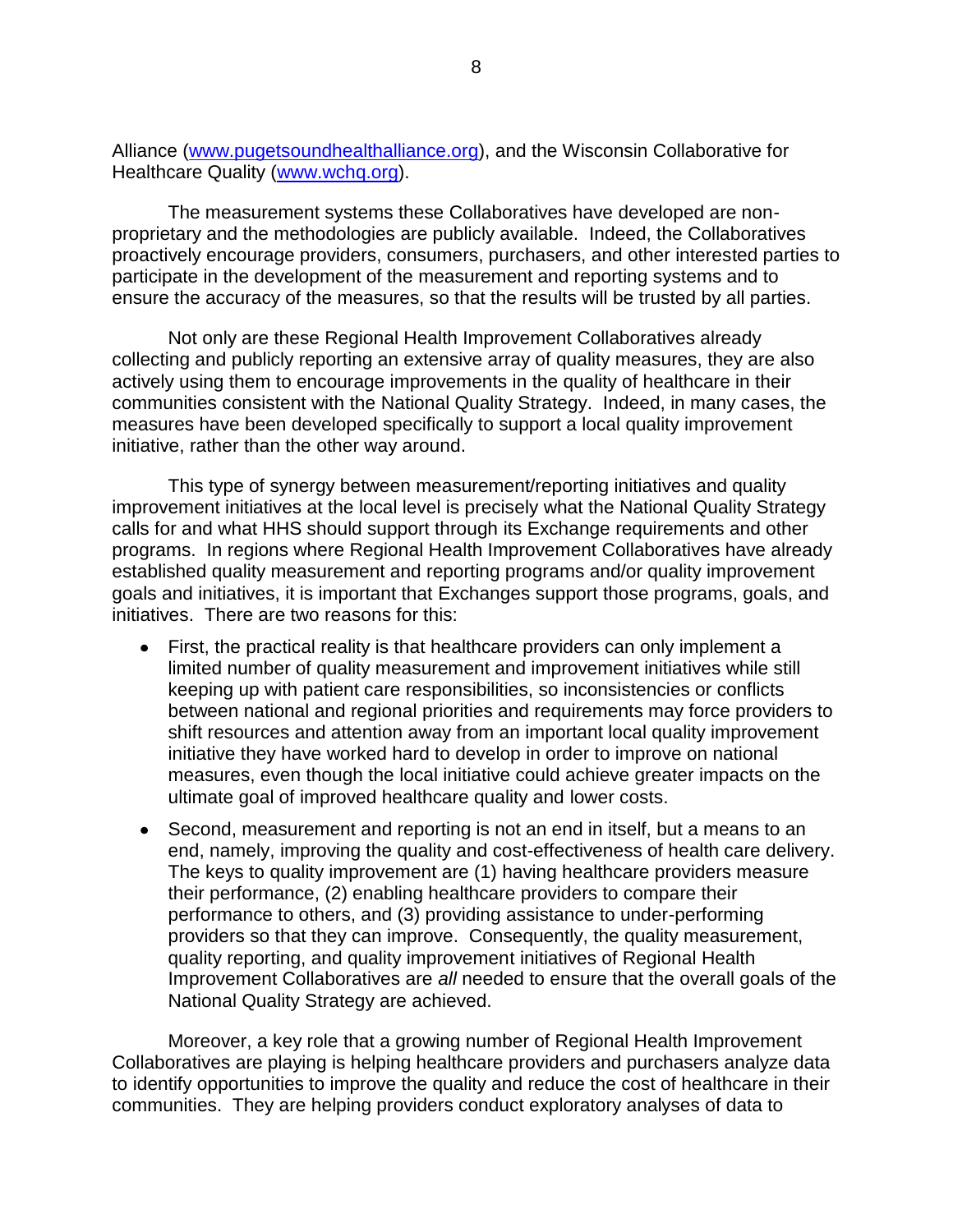Alliance [\(www.pugetsoundhealthalliance.org\)](http://www.pugetsoundhealthalliance.org/), and the Wisconsin Collaborative for Healthcare Quality [\(www.wchq.org\)](http://www.wchq.org/).

The measurement systems these Collaboratives have developed are nonproprietary and the methodologies are publicly available. Indeed, the Collaboratives proactively encourage providers, consumers, purchasers, and other interested parties to participate in the development of the measurement and reporting systems and to ensure the accuracy of the measures, so that the results will be trusted by all parties.

Not only are these Regional Health Improvement Collaboratives already collecting and publicly reporting an extensive array of quality measures, they are also actively using them to encourage improvements in the quality of healthcare in their communities consistent with the National Quality Strategy. Indeed, in many cases, the measures have been developed specifically to support a local quality improvement initiative, rather than the other way around.

This type of synergy between measurement/reporting initiatives and quality improvement initiatives at the local level is precisely what the National Quality Strategy calls for and what HHS should support through its Exchange requirements and other programs. In regions where Regional Health Improvement Collaboratives have already established quality measurement and reporting programs and/or quality improvement goals and initiatives, it is important that Exchanges support those programs, goals, and initiatives. There are two reasons for this:

- First, the practical reality is that healthcare providers can only implement a limited number of quality measurement and improvement initiatives while still keeping up with patient care responsibilities, so inconsistencies or conflicts between national and regional priorities and requirements may force providers to shift resources and attention away from an important local quality improvement initiative they have worked hard to develop in order to improve on national measures, even though the local initiative could achieve greater impacts on the ultimate goal of improved healthcare quality and lower costs.
- Second, measurement and reporting is not an end in itself, but a means to an end, namely, improving the quality and cost-effectiveness of health care delivery. The keys to quality improvement are (1) having healthcare providers measure their performance, (2) enabling healthcare providers to compare their performance to others, and (3) providing assistance to under-performing providers so that they can improve. Consequently, the quality measurement, quality reporting, and quality improvement initiatives of Regional Health Improvement Collaboratives are *all* needed to ensure that the overall goals of the National Quality Strategy are achieved.

Moreover, a key role that a growing number of Regional Health Improvement Collaboratives are playing is helping healthcare providers and purchasers analyze data to identify opportunities to improve the quality and reduce the cost of healthcare in their communities. They are helping providers conduct exploratory analyses of data to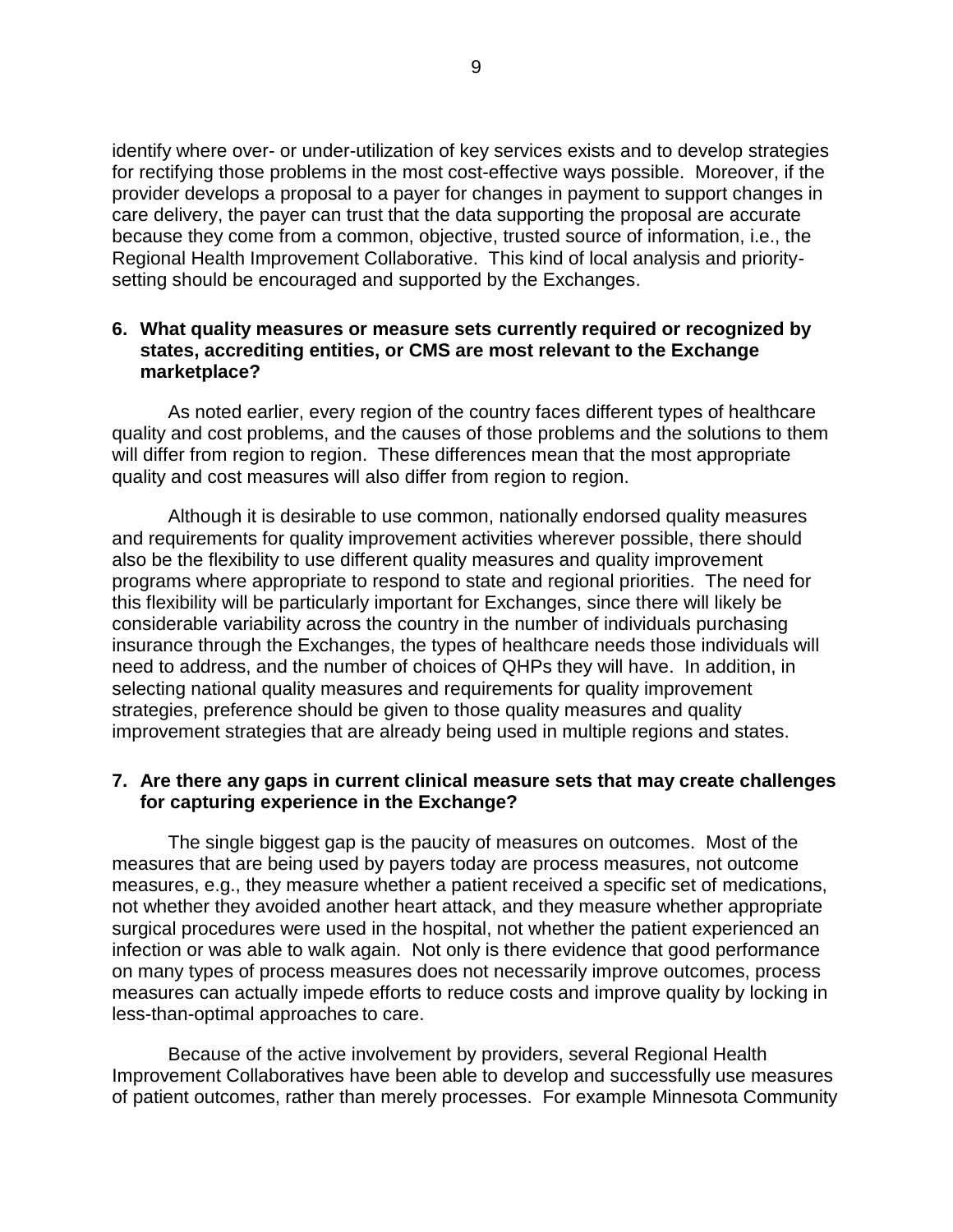identify where over- or under-utilization of key services exists and to develop strategies for rectifying those problems in the most cost-effective ways possible. Moreover, if the provider develops a proposal to a payer for changes in payment to support changes in care delivery, the payer can trust that the data supporting the proposal are accurate because they come from a common, objective, trusted source of information, i.e., the Regional Health Improvement Collaborative. This kind of local analysis and prioritysetting should be encouraged and supported by the Exchanges.

#### **6. What quality measures or measure sets currently required or recognized by states, accrediting entities, or CMS are most relevant to the Exchange marketplace?**

As noted earlier, every region of the country faces different types of healthcare quality and cost problems, and the causes of those problems and the solutions to them will differ from region to region. These differences mean that the most appropriate quality and cost measures will also differ from region to region.

Although it is desirable to use common, nationally endorsed quality measures and requirements for quality improvement activities wherever possible, there should also be the flexibility to use different quality measures and quality improvement programs where appropriate to respond to state and regional priorities. The need for this flexibility will be particularly important for Exchanges, since there will likely be considerable variability across the country in the number of individuals purchasing insurance through the Exchanges, the types of healthcare needs those individuals will need to address, and the number of choices of QHPs they will have. In addition, in selecting national quality measures and requirements for quality improvement strategies, preference should be given to those quality measures and quality improvement strategies that are already being used in multiple regions and states.

#### **7. Are there any gaps in current clinical measure sets that may create challenges for capturing experience in the Exchange?**

The single biggest gap is the paucity of measures on outcomes. Most of the measures that are being used by payers today are process measures, not outcome measures, e.g., they measure whether a patient received a specific set of medications, not whether they avoided another heart attack, and they measure whether appropriate surgical procedures were used in the hospital, not whether the patient experienced an infection or was able to walk again. Not only is there evidence that good performance on many types of process measures does not necessarily improve outcomes, process measures can actually impede efforts to reduce costs and improve quality by locking in less-than-optimal approaches to care.

Because of the active involvement by providers, several Regional Health Improvement Collaboratives have been able to develop and successfully use measures of patient outcomes, rather than merely processes. For example Minnesota Community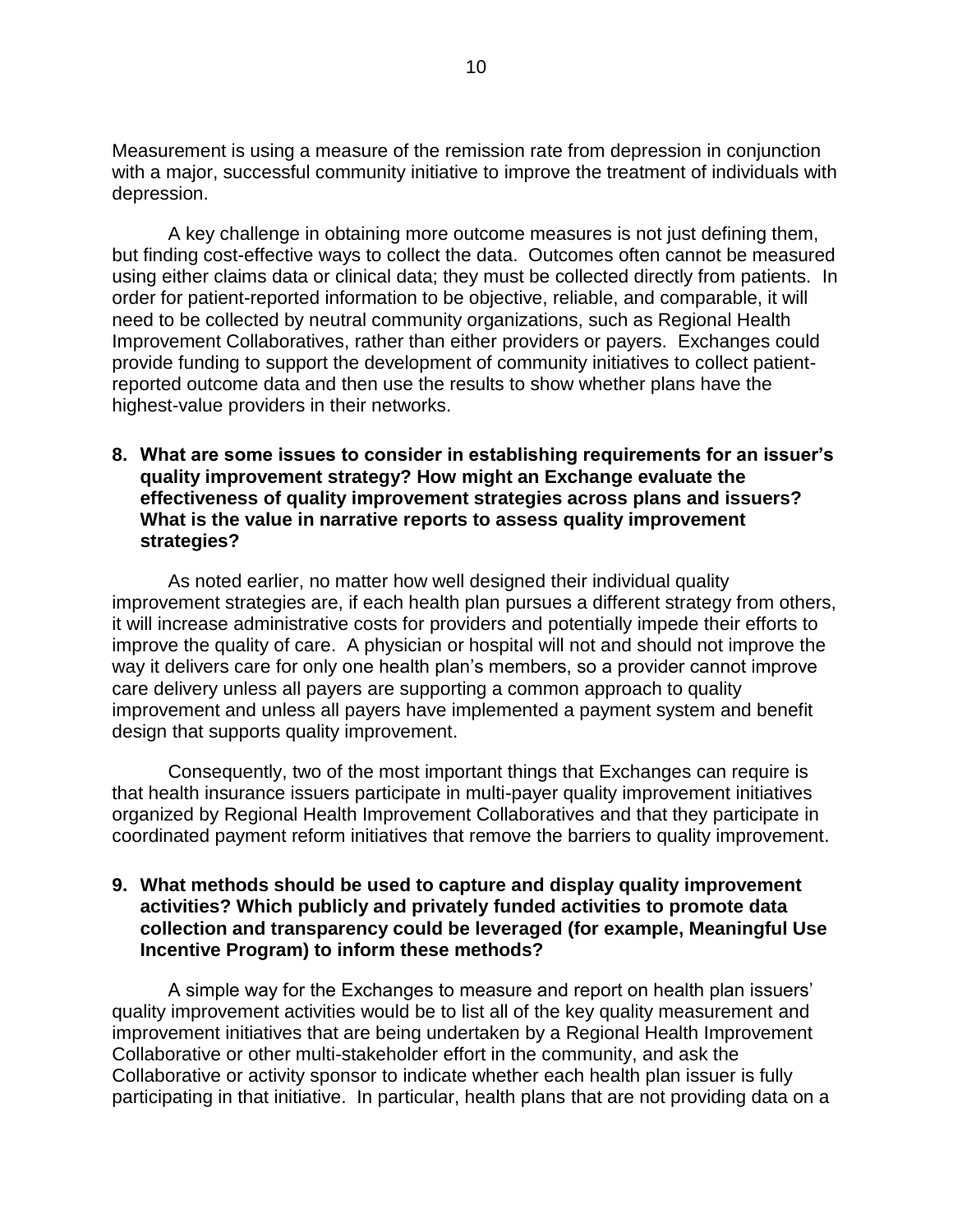Measurement is using a measure of the remission rate from depression in conjunction with a major, successful community initiative to improve the treatment of individuals with depression.

A key challenge in obtaining more outcome measures is not just defining them, but finding cost-effective ways to collect the data. Outcomes often cannot be measured using either claims data or clinical data; they must be collected directly from patients. In order for patient-reported information to be objective, reliable, and comparable, it will need to be collected by neutral community organizations, such as Regional Health Improvement Collaboratives, rather than either providers or payers. Exchanges could provide funding to support the development of community initiatives to collect patientreported outcome data and then use the results to show whether plans have the highest-value providers in their networks.

#### **8. What are some issues to consider in establishing requirements for an issuer's quality improvement strategy? How might an Exchange evaluate the effectiveness of quality improvement strategies across plans and issuers? What is the value in narrative reports to assess quality improvement strategies?**

As noted earlier, no matter how well designed their individual quality improvement strategies are, if each health plan pursues a different strategy from others, it will increase administrative costs for providers and potentially impede their efforts to improve the quality of care. A physician or hospital will not and should not improve the way it delivers care for only one health plan's members, so a provider cannot improve care delivery unless all payers are supporting a common approach to quality improvement and unless all payers have implemented a payment system and benefit design that supports quality improvement.

Consequently, two of the most important things that Exchanges can require is that health insurance issuers participate in multi-payer quality improvement initiatives organized by Regional Health Improvement Collaboratives and that they participate in coordinated payment reform initiatives that remove the barriers to quality improvement.

## **9. What methods should be used to capture and display quality improvement activities? Which publicly and privately funded activities to promote data collection and transparency could be leveraged (for example, Meaningful Use Incentive Program) to inform these methods?**

A simple way for the Exchanges to measure and report on health plan issuers' quality improvement activities would be to list all of the key quality measurement and improvement initiatives that are being undertaken by a Regional Health Improvement Collaborative or other multi-stakeholder effort in the community, and ask the Collaborative or activity sponsor to indicate whether each health plan issuer is fully participating in that initiative. In particular, health plans that are not providing data on a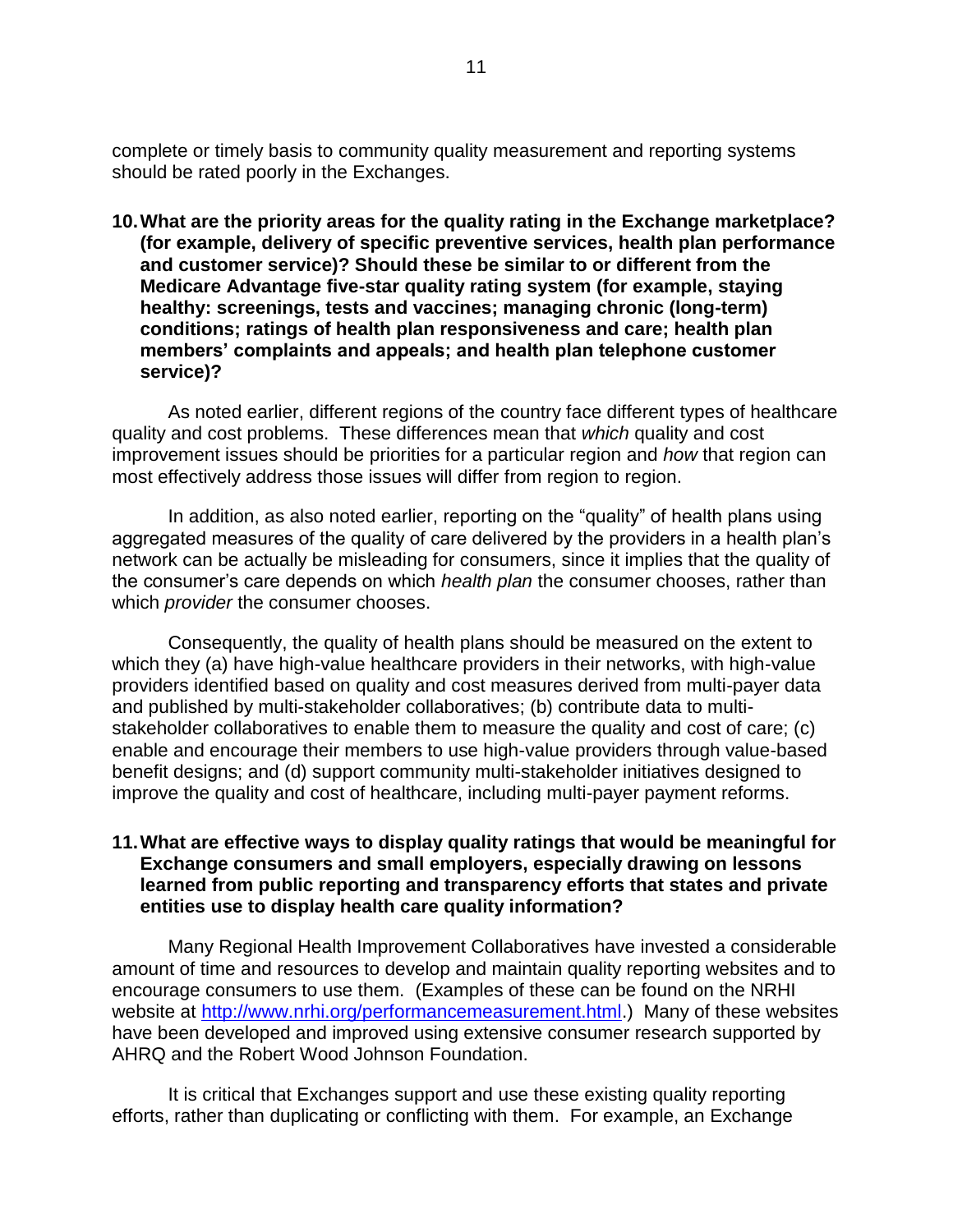complete or timely basis to community quality measurement and reporting systems should be rated poorly in the Exchanges.

**10.What are the priority areas for the quality rating in the Exchange marketplace? (for example, delivery of specific preventive services, health plan performance and customer service)? Should these be similar to or different from the Medicare Advantage five-star quality rating system (for example, staying healthy: screenings, tests and vaccines; managing chronic (long-term) conditions; ratings of health plan responsiveness and care; health plan members' complaints and appeals; and health plan telephone customer service)?** 

As noted earlier, different regions of the country face different types of healthcare quality and cost problems. These differences mean that *which* quality and cost improvement issues should be priorities for a particular region and *how* that region can most effectively address those issues will differ from region to region.

In addition, as also noted earlier, reporting on the "quality" of health plans using aggregated measures of the quality of care delivered by the providers in a health plan's network can be actually be misleading for consumers, since it implies that the quality of the consumer's care depends on which *health plan* the consumer chooses, rather than which *provider* the consumer chooses.

Consequently, the quality of health plans should be measured on the extent to which they (a) have high-value healthcare providers in their networks, with high-value providers identified based on quality and cost measures derived from multi-payer data and published by multi-stakeholder collaboratives; (b) contribute data to multistakeholder collaboratives to enable them to measure the quality and cost of care; (c) enable and encourage their members to use high-value providers through value-based benefit designs; and (d) support community multi-stakeholder initiatives designed to improve the quality and cost of healthcare, including multi-payer payment reforms.

#### **11.What are effective ways to display quality ratings that would be meaningful for Exchange consumers and small employers, especially drawing on lessons learned from public reporting and transparency efforts that states and private entities use to display health care quality information?**

Many Regional Health Improvement Collaboratives have invested a considerable amount of time and resources to develop and maintain quality reporting websites and to encourage consumers to use them. (Examples of these can be found on the NRHI website at [http://www.nrhi.org/performancemeasurement.html.](http://www.nrhi.org/performancemeasurement.html)) Many of these websites have been developed and improved using extensive consumer research supported by AHRQ and the Robert Wood Johnson Foundation.

It is critical that Exchanges support and use these existing quality reporting efforts, rather than duplicating or conflicting with them. For example, an Exchange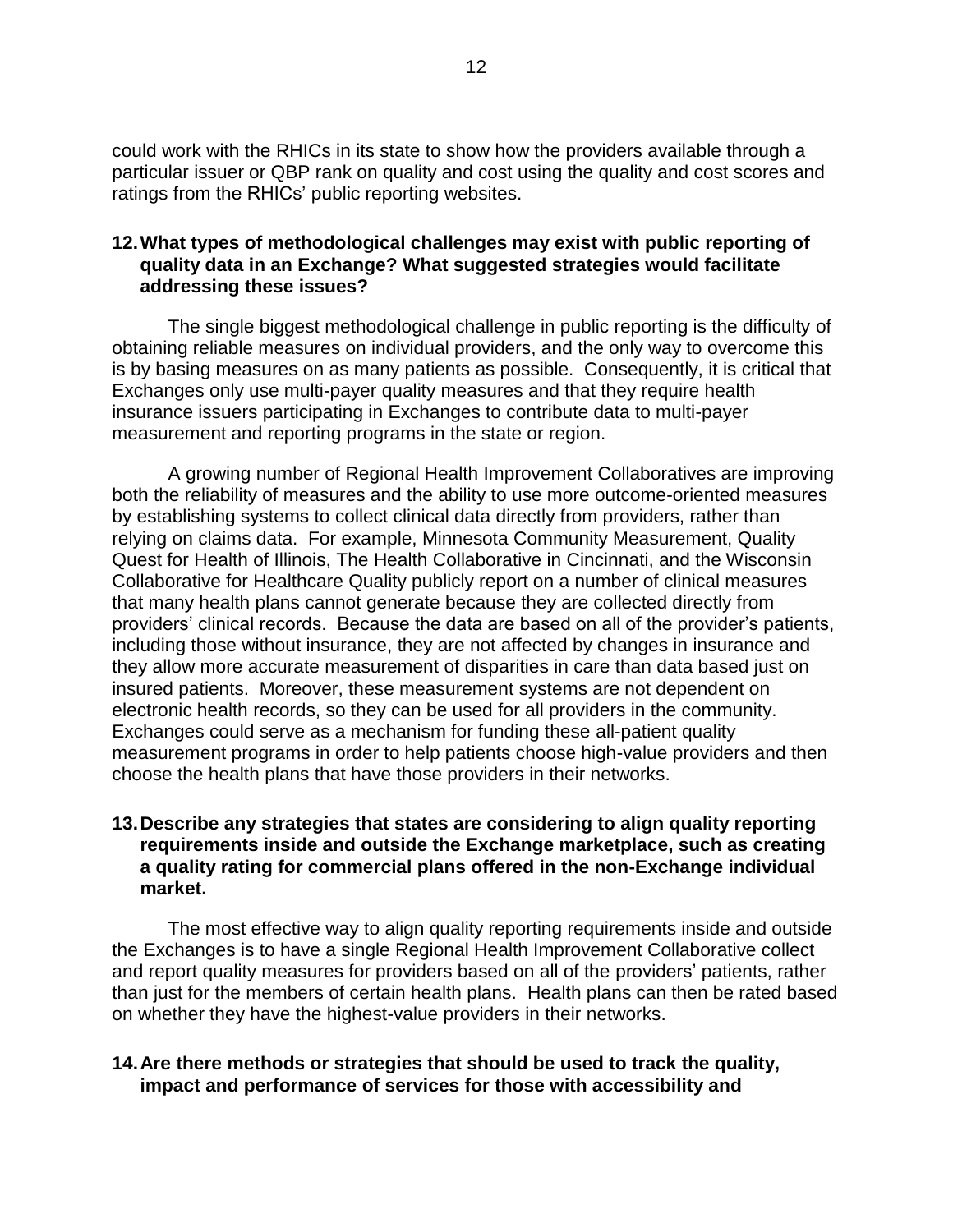could work with the RHICs in its state to show how the providers available through a particular issuer or QBP rank on quality and cost using the quality and cost scores and ratings from the RHICs' public reporting websites.

# **12.What types of methodological challenges may exist with public reporting of quality data in an Exchange? What suggested strategies would facilitate addressing these issues?**

The single biggest methodological challenge in public reporting is the difficulty of obtaining reliable measures on individual providers, and the only way to overcome this is by basing measures on as many patients as possible. Consequently, it is critical that Exchanges only use multi-payer quality measures and that they require health insurance issuers participating in Exchanges to contribute data to multi-payer measurement and reporting programs in the state or region.

A growing number of Regional Health Improvement Collaboratives are improving both the reliability of measures and the ability to use more outcome-oriented measures by establishing systems to collect clinical data directly from providers, rather than relying on claims data. For example, Minnesota Community Measurement, Quality Quest for Health of Illinois, The Health Collaborative in Cincinnati, and the Wisconsin Collaborative for Healthcare Quality publicly report on a number of clinical measures that many health plans cannot generate because they are collected directly from providers' clinical records. Because the data are based on all of the provider's patients, including those without insurance, they are not affected by changes in insurance and they allow more accurate measurement of disparities in care than data based just on insured patients. Moreover, these measurement systems are not dependent on electronic health records, so they can be used for all providers in the community. Exchanges could serve as a mechanism for funding these all-patient quality measurement programs in order to help patients choose high-value providers and then choose the health plans that have those providers in their networks.

## **13.Describe any strategies that states are considering to align quality reporting requirements inside and outside the Exchange marketplace, such as creating a quality rating for commercial plans offered in the non-Exchange individual market.**

The most effective way to align quality reporting requirements inside and outside the Exchanges is to have a single Regional Health Improvement Collaborative collect and report quality measures for providers based on all of the providers' patients, rather than just for the members of certain health plans. Health plans can then be rated based on whether they have the highest-value providers in their networks.

# **14.Are there methods or strategies that should be used to track the quality, impact and performance of services for those with accessibility and**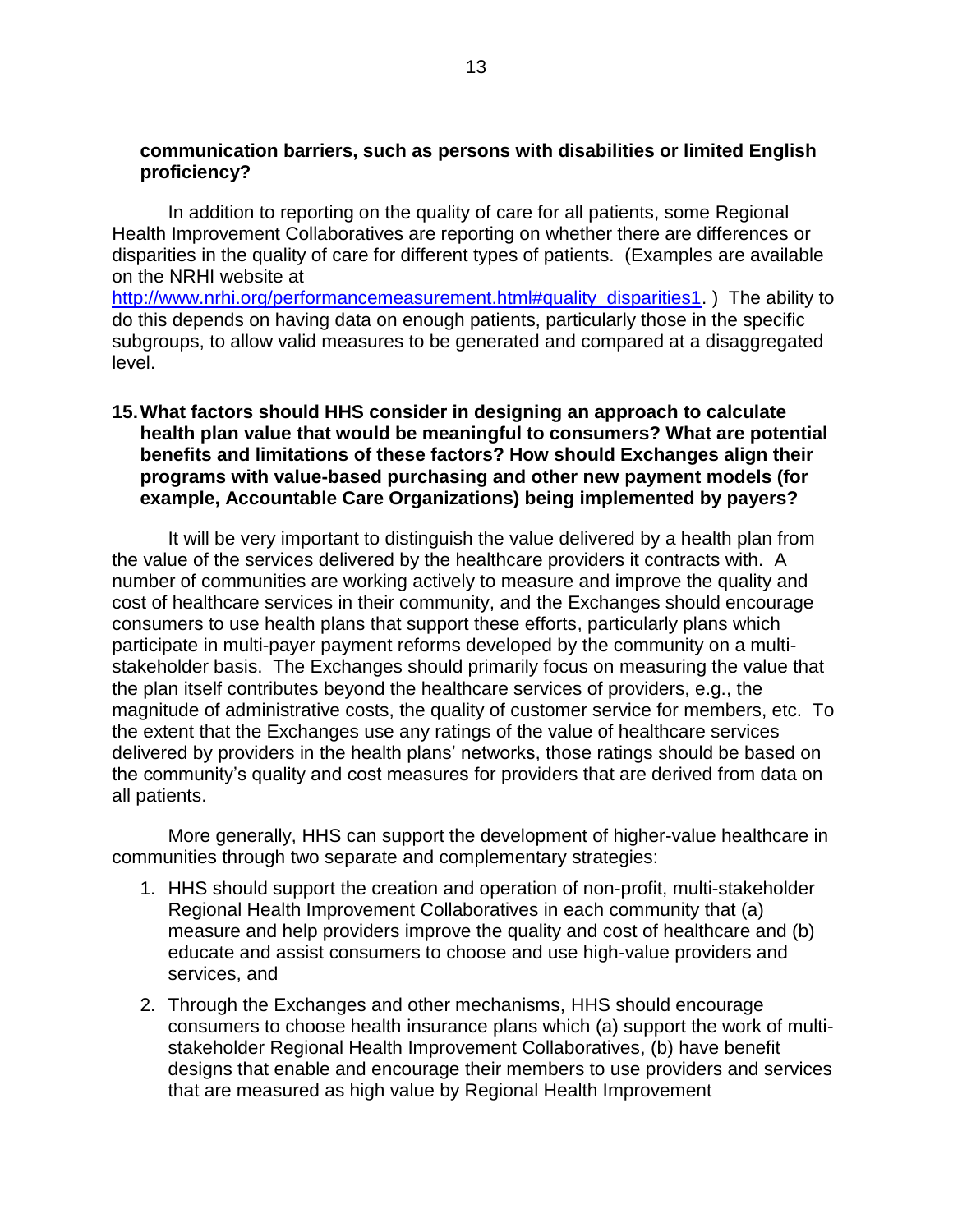#### **communication barriers, such as persons with disabilities or limited English proficiency?**

In addition to reporting on the quality of care for all patients, some Regional Health Improvement Collaboratives are reporting on whether there are differences or disparities in the quality of care for different types of patients. (Examples are available on the NRHI website at

[http://www.nrhi.org/performancemeasurement.html#quality\\_disparities1.](http://www.nrhi.org/performancemeasurement.html#quality_disparities1) ) The ability to do this depends on having data on enough patients, particularly those in the specific subgroups, to allow valid measures to be generated and compared at a disaggregated level.

## **15.What factors should HHS consider in designing an approach to calculate health plan value that would be meaningful to consumers? What are potential benefits and limitations of these factors? How should Exchanges align their programs with value-based purchasing and other new payment models (for example, Accountable Care Organizations) being implemented by payers?**

It will be very important to distinguish the value delivered by a health plan from the value of the services delivered by the healthcare providers it contracts with. A number of communities are working actively to measure and improve the quality and cost of healthcare services in their community, and the Exchanges should encourage consumers to use health plans that support these efforts, particularly plans which participate in multi-payer payment reforms developed by the community on a multistakeholder basis. The Exchanges should primarily focus on measuring the value that the plan itself contributes beyond the healthcare services of providers, e.g., the magnitude of administrative costs, the quality of customer service for members, etc. To the extent that the Exchanges use any ratings of the value of healthcare services delivered by providers in the health plans' networks, those ratings should be based on the community's quality and cost measures for providers that are derived from data on all patients.

More generally, HHS can support the development of higher-value healthcare in communities through two separate and complementary strategies:

- 1. HHS should support the creation and operation of non-profit, multi-stakeholder Regional Health Improvement Collaboratives in each community that (a) measure and help providers improve the quality and cost of healthcare and (b) educate and assist consumers to choose and use high-value providers and services, and
- 2. Through the Exchanges and other mechanisms, HHS should encourage consumers to choose health insurance plans which (a) support the work of multistakeholder Regional Health Improvement Collaboratives, (b) have benefit designs that enable and encourage their members to use providers and services that are measured as high value by Regional Health Improvement